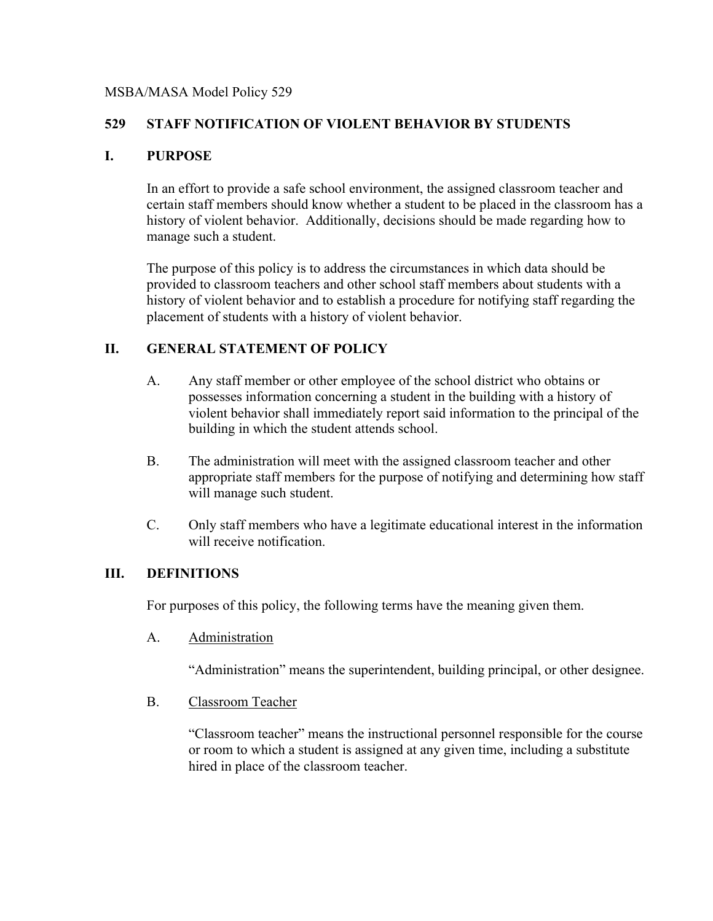### MSBA/MASA Model Policy 529

## **529 STAFF NOTIFICATION OF VIOLENT BEHAVIOR BY STUDENTS**

## **I. PURPOSE**

In an effort to provide a safe school environment, the assigned classroom teacher and certain staff members should know whether a student to be placed in the classroom has a history of violent behavior. Additionally, decisions should be made regarding how to manage such a student.

The purpose of this policy is to address the circumstances in which data should be provided to classroom teachers and other school staff members about students with a history of violent behavior and to establish a procedure for notifying staff regarding the placement of students with a history of violent behavior.

## **II. GENERAL STATEMENT OF POLICY**

- A. Any staff member or other employee of the school district who obtains or possesses information concerning a student in the building with a history of violent behavior shall immediately report said information to the principal of the building in which the student attends school.
- B. The administration will meet with the assigned classroom teacher and other appropriate staff members for the purpose of notifying and determining how staff will manage such student.
- C. Only staff members who have a legitimate educational interest in the information will receive notification.

#### **III. DEFINITIONS**

For purposes of this policy, the following terms have the meaning given them.

A. Administration

"Administration" means the superintendent, building principal, or other designee.

B. Classroom Teacher

"Classroom teacher" means the instructional personnel responsible for the course or room to which a student is assigned at any given time, including a substitute hired in place of the classroom teacher.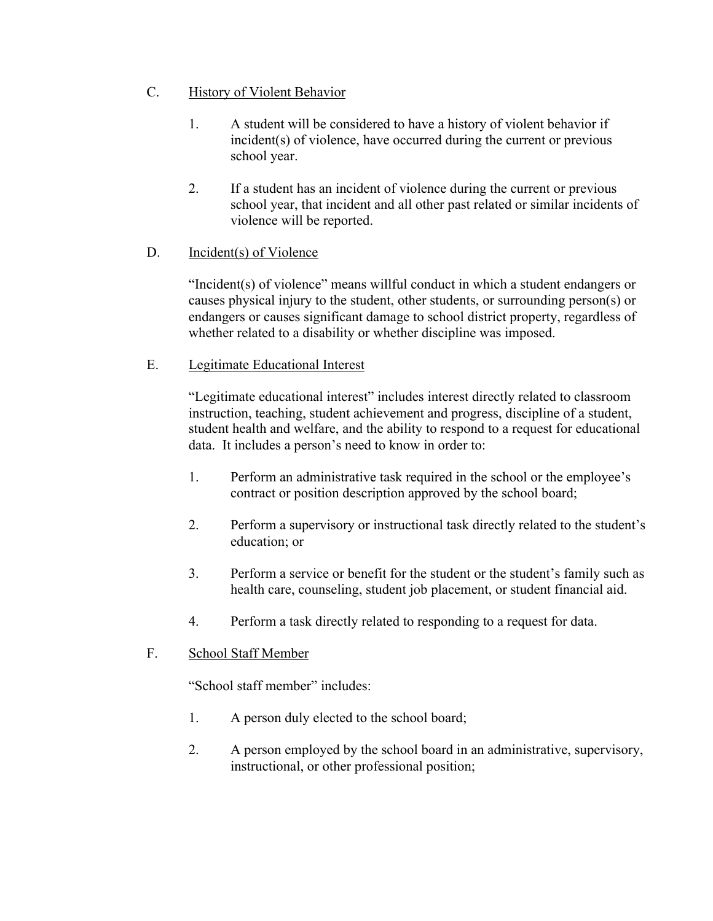- C. History of Violent Behavior
	- 1. A student will be considered to have a history of violent behavior if incident(s) of violence, have occurred during the current or previous school year.
	- 2. If a student has an incident of violence during the current or previous school year, that incident and all other past related or similar incidents of violence will be reported.

# D. Incident(s) of Violence

"Incident(s) of violence" means willful conduct in which a student endangers or causes physical injury to the student, other students, or surrounding person(s) or endangers or causes significant damage to school district property, regardless of whether related to a disability or whether discipline was imposed.

# E. Legitimate Educational Interest

"Legitimate educational interest" includes interest directly related to classroom instruction, teaching, student achievement and progress, discipline of a student, student health and welfare, and the ability to respond to a request for educational data. It includes a person's need to know in order to:

- 1. Perform an administrative task required in the school or the employee's contract or position description approved by the school board;
- 2. Perform a supervisory or instructional task directly related to the student's education; or
- 3. Perform a service or benefit for the student or the student's family such as health care, counseling, student job placement, or student financial aid.
- 4. Perform a task directly related to responding to a request for data.

## F. School Staff Member

"School staff member" includes:

- 1. A person duly elected to the school board;
- 2. A person employed by the school board in an administrative, supervisory, instructional, or other professional position;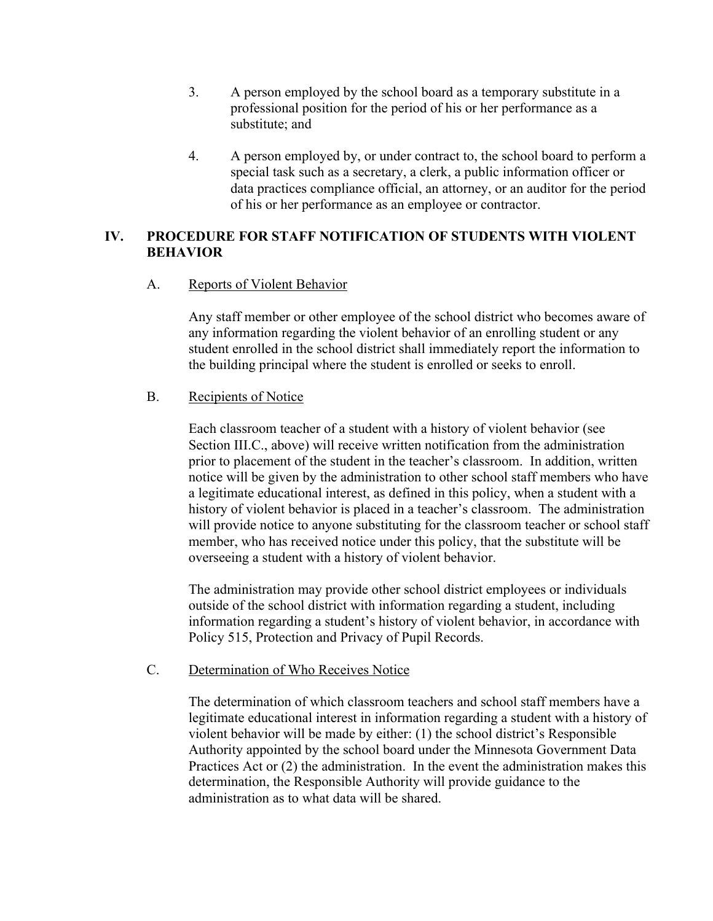- 3. A person employed by the school board as a temporary substitute in a professional position for the period of his or her performance as a substitute; and
- 4. A person employed by, or under contract to, the school board to perform a special task such as a secretary, a clerk, a public information officer or data practices compliance official, an attorney, or an auditor for the period of his or her performance as an employee or contractor.

#### **IV. PROCEDURE FOR STAFF NOTIFICATION OF STUDENTS WITH VIOLENT BEHAVIOR**

#### A. Reports of Violent Behavior

Any staff member or other employee of the school district who becomes aware of any information regarding the violent behavior of an enrolling student or any student enrolled in the school district shall immediately report the information to the building principal where the student is enrolled or seeks to enroll.

#### B. Recipients of Notice

Each classroom teacher of a student with a history of violent behavior (see Section III.C., above) will receive written notification from the administration prior to placement of the student in the teacher's classroom. In addition, written notice will be given by the administration to other school staff members who have a legitimate educational interest, as defined in this policy, when a student with a history of violent behavior is placed in a teacher's classroom. The administration will provide notice to anyone substituting for the classroom teacher or school staff member, who has received notice under this policy, that the substitute will be overseeing a student with a history of violent behavior.

The administration may provide other school district employees or individuals outside of the school district with information regarding a student, including information regarding a student's history of violent behavior, in accordance with Policy 515, Protection and Privacy of Pupil Records.

#### C. Determination of Who Receives Notice

The determination of which classroom teachers and school staff members have a legitimate educational interest in information regarding a student with a history of violent behavior will be made by either: (1) the school district's Responsible Authority appointed by the school board under the Minnesota Government Data Practices Act or (2) the administration. In the event the administration makes this determination, the Responsible Authority will provide guidance to the administration as to what data will be shared.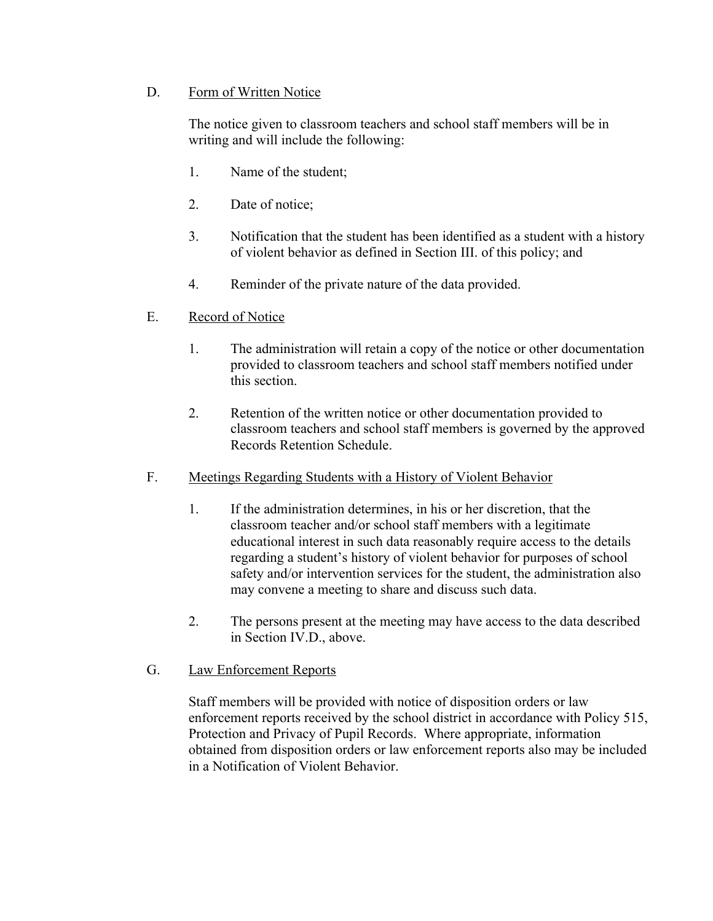## D. Form of Written Notice

The notice given to classroom teachers and school staff members will be in writing and will include the following:

- 1. Name of the student;
- 2. Date of notice;
- 3. Notification that the student has been identified as a student with a history of violent behavior as defined in Section III. of this policy; and
- 4. Reminder of the private nature of the data provided.
- E. Record of Notice
	- 1. The administration will retain a copy of the notice or other documentation provided to classroom teachers and school staff members notified under this section.
	- 2. Retention of the written notice or other documentation provided to classroom teachers and school staff members is governed by the approved Records Retention Schedule.
- F. Meetings Regarding Students with a History of Violent Behavior
	- 1. If the administration determines, in his or her discretion, that the classroom teacher and/or school staff members with a legitimate educational interest in such data reasonably require access to the details regarding a student's history of violent behavior for purposes of school safety and/or intervention services for the student, the administration also may convene a meeting to share and discuss such data.
	- 2. The persons present at the meeting may have access to the data described in Section IV.D., above.
- G. Law Enforcement Reports

Staff members will be provided with notice of disposition orders or law enforcement reports received by the school district in accordance with Policy 515, Protection and Privacy of Pupil Records. Where appropriate, information obtained from disposition orders or law enforcement reports also may be included in a Notification of Violent Behavior.